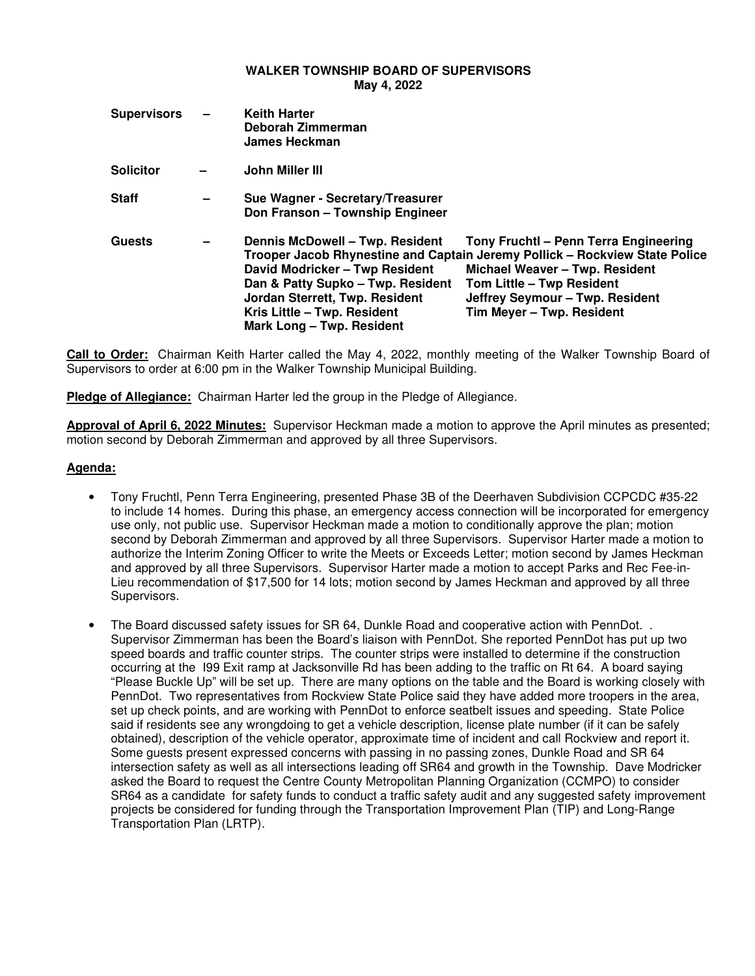### **WALKER TOWNSHIP BOARD OF SUPERVISORS May 4, 2022**

| <b>Supervisors</b> | - | <b>Keith Harter</b><br>Deborah Zimmerman<br>James Heckman                                                                                                                                            |                                                                                                                                                                                                                                                     |
|--------------------|---|------------------------------------------------------------------------------------------------------------------------------------------------------------------------------------------------------|-----------------------------------------------------------------------------------------------------------------------------------------------------------------------------------------------------------------------------------------------------|
| <b>Solicitor</b>   |   | John Miller III                                                                                                                                                                                      |                                                                                                                                                                                                                                                     |
| <b>Staff</b>       | - | Sue Wagner - Secretary/Treasurer<br>Don Franson - Township Engineer                                                                                                                                  |                                                                                                                                                                                                                                                     |
| <b>Guests</b>      |   | Dennis McDowell - Twp. Resident<br>David Modricker - Twp Resident<br>Dan & Patty Supko - Twp. Resident<br>Jordan Sterrett, Twp. Resident<br>Kris Little - Twp. Resident<br>Mark Long - Twp. Resident | Tony Fruchtl - Penn Terra Engineering<br>Trooper Jacob Rhynestine and Captain Jeremy Pollick - Rockview State Police<br>Michael Weaver - Twp. Resident<br>Tom Little - Twp Resident<br>Jeffrey Seymour - Twp. Resident<br>Tim Meyer - Twp. Resident |

**Call to Order:** Chairman Keith Harter called the May 4, 2022, monthly meeting of the Walker Township Board of Supervisors to order at 6:00 pm in the Walker Township Municipal Building.

**Pledge of Allegiance:** Chairman Harter led the group in the Pledge of Allegiance.

**Approval of April 6, 2022 Minutes:** Supervisor Heckman made a motion to approve the April minutes as presented; motion second by Deborah Zimmerman and approved by all three Supervisors.

# **Agenda:**

- Tony Fruchtl, Penn Terra Engineering, presented Phase 3B of the Deerhaven Subdivision CCPCDC #35-22 to include 14 homes. During this phase, an emergency access connection will be incorporated for emergency use only, not public use. Supervisor Heckman made a motion to conditionally approve the plan; motion second by Deborah Zimmerman and approved by all three Supervisors. Supervisor Harter made a motion to authorize the Interim Zoning Officer to write the Meets or Exceeds Letter; motion second by James Heckman and approved by all three Supervisors. Supervisor Harter made a motion to accept Parks and Rec Fee-in-Lieu recommendation of \$17,500 for 14 lots; motion second by James Heckman and approved by all three Supervisors.
- The Board discussed safety issues for SR 64, Dunkle Road and cooperative action with PennDot. . Supervisor Zimmerman has been the Board's liaison with PennDot. She reported PennDot has put up two speed boards and traffic counter strips. The counter strips were installed to determine if the construction occurring at the I99 Exit ramp at Jacksonville Rd has been adding to the traffic on Rt 64. A board saying "Please Buckle Up" will be set up. There are many options on the table and the Board is working closely with PennDot. Two representatives from Rockview State Police said they have added more troopers in the area, set up check points, and are working with PennDot to enforce seatbelt issues and speeding. State Police said if residents see any wrongdoing to get a vehicle description, license plate number (if it can be safely obtained), description of the vehicle operator, approximate time of incident and call Rockview and report it. Some guests present expressed concerns with passing in no passing zones, Dunkle Road and SR 64 intersection safety as well as all intersections leading off SR64 and growth in the Township. Dave Modricker asked the Board to request the Centre County Metropolitan Planning Organization (CCMPO) to consider SR64 as a candidate for safety funds to conduct a traffic safety audit and any suggested safety improvement projects be considered for funding through the Transportation Improvement Plan (TIP) and Long-Range Transportation Plan (LRTP).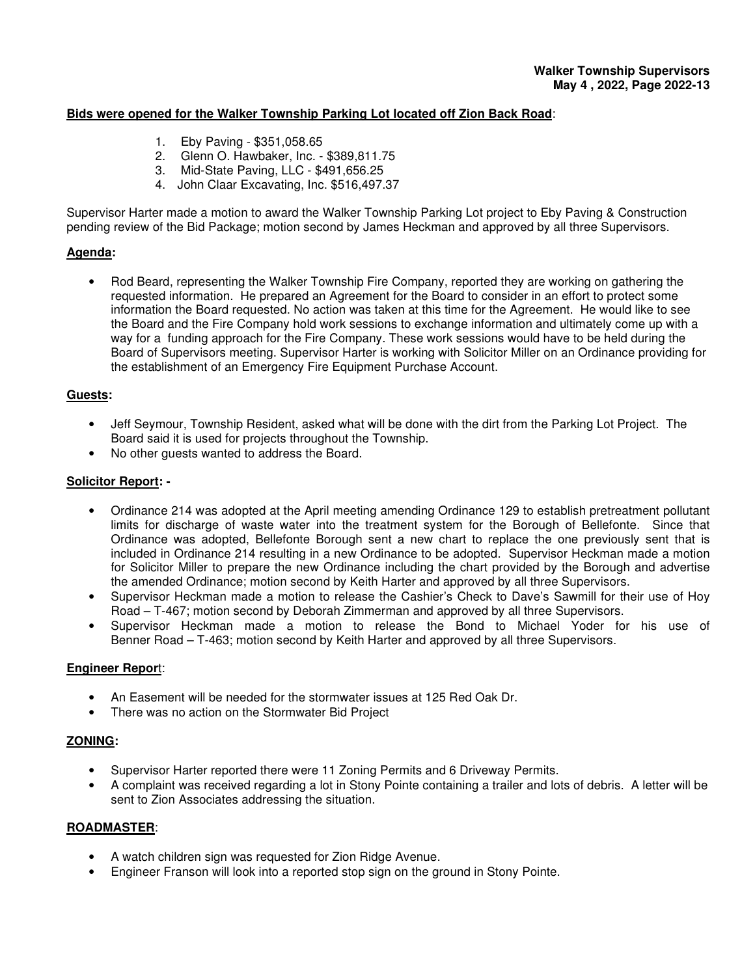# **Bids were opened for the Walker Township Parking Lot located off Zion Back Road**:

- 1. Eby Paving \$351,058.65
- 2. Glenn O. Hawbaker, Inc. \$389,811.75
- 3. Mid-State Paving, LLC \$491,656.25
- 4. John Claar Excavating, Inc. \$516,497.37

Supervisor Harter made a motion to award the Walker Township Parking Lot project to Eby Paving & Construction pending review of the Bid Package; motion second by James Heckman and approved by all three Supervisors.

# **Agenda:**

• Rod Beard, representing the Walker Township Fire Company, reported they are working on gathering the requested information. He prepared an Agreement for the Board to consider in an effort to protect some information the Board requested. No action was taken at this time for the Agreement. He would like to see the Board and the Fire Company hold work sessions to exchange information and ultimately come up with a way for a funding approach for the Fire Company. These work sessions would have to be held during the Board of Supervisors meeting. Supervisor Harter is working with Solicitor Miller on an Ordinance providing for the establishment of an Emergency Fire Equipment Purchase Account.

### **Guests:**

- Jeff Seymour, Township Resident, asked what will be done with the dirt from the Parking Lot Project. The Board said it is used for projects throughout the Township.
- No other guests wanted to address the Board.

### **Solicitor Report: -**

- Ordinance 214 was adopted at the April meeting amending Ordinance 129 to establish pretreatment pollutant limits for discharge of waste water into the treatment system for the Borough of Bellefonte. Since that Ordinance was adopted, Bellefonte Borough sent a new chart to replace the one previously sent that is included in Ordinance 214 resulting in a new Ordinance to be adopted. Supervisor Heckman made a motion for Solicitor Miller to prepare the new Ordinance including the chart provided by the Borough and advertise the amended Ordinance; motion second by Keith Harter and approved by all three Supervisors.
- Supervisor Heckman made a motion to release the Cashier's Check to Dave's Sawmill for their use of Hoy Road – T-467; motion second by Deborah Zimmerman and approved by all three Supervisors.
- Supervisor Heckman made a motion to release the Bond to Michael Yoder for his use of Benner Road – T-463; motion second by Keith Harter and approved by all three Supervisors.

### **Engineer Repor**t:

- An Easement will be needed for the stormwater issues at 125 Red Oak Dr.
- There was no action on the Stormwater Bid Project

### **ZONING:**

- Supervisor Harter reported there were 11 Zoning Permits and 6 Driveway Permits.
- A complaint was received regarding a lot in Stony Pointe containing a trailer and lots of debris. A letter will be sent to Zion Associates addressing the situation.

### **ROADMASTER**:

- A watch children sign was requested for Zion Ridge Avenue.
- Engineer Franson will look into a reported stop sign on the ground in Stony Pointe.